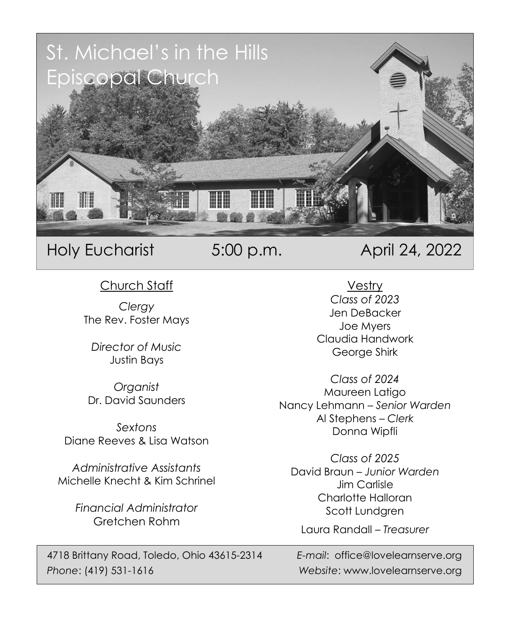

Holy Eucharist 5:00 p.m. April 24, 2022

Church Staff

*Clergy* The Rev. Foster Mays

*Director of Music* Justin Bays

*Organist* Dr. David Saunders

*Sextons* Diane Reeves & Lisa Watson

*Administrative Assistants* Michelle Knecht & Kim Schrinel

> *Financial Administrator* Gretchen Rohm

4718 Brittany Road, Toledo, Ohio 43615-2314 *E-mail*: office@lovelearnserve.org *Phone*: (419) 531-1616 *Website*: www.lovelearnserve.org

Vestry *Class of 2023* Jen DeBacker Joe Myers Claudia Handwork George Shirk

*Class of 2024* Maureen Latigo Nancy Lehmann – *Senior Warden* Al Stephens – *Clerk* Donna Wipfli

*Class of 2025* David Braun – *Junior Warden* Jim Carlisle Charlotte Halloran Scott Lundgren

Laura Randall – *Treasurer*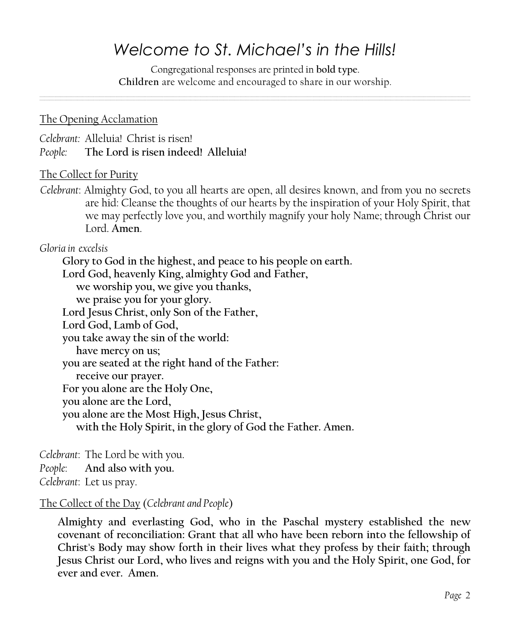# *Welcome to St. Michael's in the Hills!*

Congregational responses are printed in **bold type**. **Children** are welcome and encouraged to share in our worship*.*

### The Opening Acclamation

*Celebrant:* Alleluia! Christ is risen!

*People:* **The Lord is risen indeed! Alleluia!**

### The Collect for Purity

*Celebrant*: Almighty God, to you all hearts are open, all desires known, and from you no secrets are hid: Cleanse the thoughts of our hearts by the inspiration of your Holy Spirit, that we may perfectly love you, and worthily magnify your holy Name; through Christ our Lord. **Amen**.

*Gloria in excelsis* 

**Glory to God in the highest, and peace to his people on earth.**

**Lord God, heavenly King, almighty God and Father,**

**we worship you, we give you thanks,**

**we praise you for your glory.**

**Lord Jesus Christ, only Son of the Father,**

**Lord God, Lamb of God,**

**you take away the sin of the world:**

**have mercy on us;**

**you are seated at the right hand of the Father:**

**receive our prayer.**

**For you alone are the Holy One,**

**you alone are the Lord,**

**you alone are the Most High, Jesus Christ,**

**with the Holy Spirit, in the glory of God the Father. Amen.**

*Celebrant*: The Lord be with you.

*People*: **And also with you.**

*Celebrant*: Let us pray.

The Collect of the Day (*Celebrant and People*)

**Almighty and everlasting God, who in the Paschal mystery established the new covenant of reconciliation: Grant that all who have been reborn into the fellowship of Christ's Body may show forth in their lives what they profess by their faith; through Jesus Christ our Lord, who lives and reigns with you and the Holy Spirit, one God, for ever and ever. Amen.**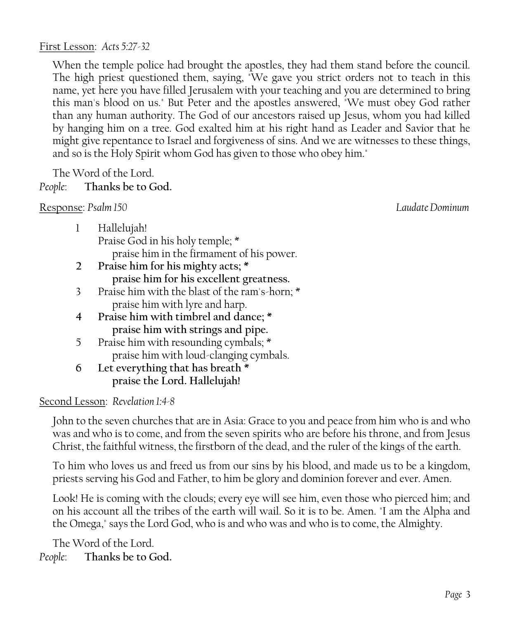When the temple police had brought the apostles, they had them stand before the council. The high priest questioned them, saying, "We gave you strict orders not to teach in this name, yet here you have filled Jerusalem with your teaching and you are determined to bring this man's blood on us." But Peter and the apostles answered, "We must obey God rather than any human authority. The God of our ancestors raised up Jesus, whom you had killed by hanging him on a tree. God exalted him at his right hand as Leader and Savior that he might give repentance to Israel and forgiveness of sins. And we are witnesses to these things, and so is the Holy Spirit whom God has given to those who obey him."

The Word of the Lord.

# *People*: **Thanks be to God.**

Response: *Psalm 150 Laudate Dominum*

- 1 Hallelujah! Praise God in his holy temple; \* praise him in the firmament of his power.
- **2 Praise him for his mighty acts; \* praise him for his excellent greatness.**
- 3 Praise him with the blast of the ram's-horn; \* praise him with lyre and harp.
- **4 Praise him with timbrel and dance; \* praise him with strings and pipe.**
- 5 Praise him with resounding cymbals; \* praise him with loud-clanging cymbals.
- **6 Let everything that has breath \* praise the Lord. Hallelujah!**

Second Lesson: *Revelation 1:4-8*

John to the seven churches that are in Asia: Grace to you and peace from him who is and who was and who is to come, and from the seven spirits who are before his throne, and from Jesus Christ, the faithful witness, the firstborn of the dead, and the ruler of the kings of the earth.

To him who loves us and freed us from our sins by his blood, and made us to be a kingdom, priests serving his God and Father, to him be glory and dominion forever and ever. Amen.

Look! He is coming with the clouds; every eye will see him, even those who pierced him; and on his account all the tribes of the earth will wail. So it is to be. Amen. "I am the Alpha and the Omega," says the Lord God, who is and who was and who is to come, the Almighty.

The Word of the Lord. *People*: **Thanks be to God.**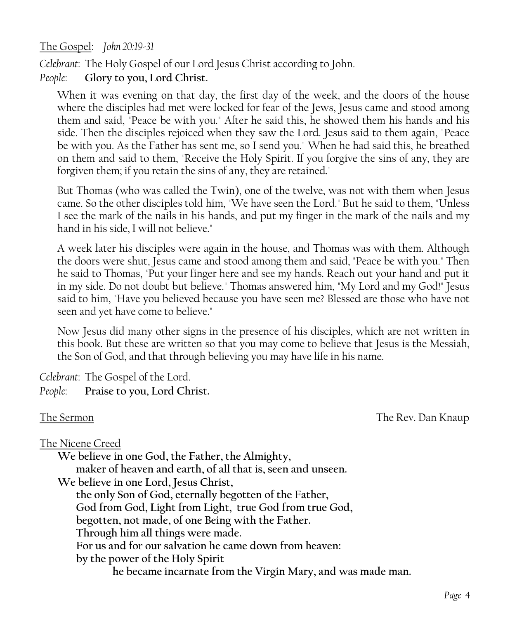The Gospel: *John 20:19-31*

*Celebrant*: The Holy Gospel of our Lord Jesus Christ according to John. *People*: **Glory to you, Lord Christ.**

When it was evening on that day, the first day of the week, and the doors of the house where the disciples had met were locked for fear of the Jews, Jesus came and stood among them and said, "Peace be with you." After he said this, he showed them his hands and his side. Then the disciples rejoiced when they saw the Lord. Jesus said to them again, "Peace be with you. As the Father has sent me, so I send you." When he had said this, he breathed on them and said to them, "Receive the Holy Spirit. If you forgive the sins of any, they are forgiven them; if you retain the sins of any, they are retained."

But Thomas (who was called the Twin), one of the twelve, was not with them when Jesus came. So the other disciples told him, "We have seen the Lord." But he said to them, "Unless I see the mark of the nails in his hands, and put my finger in the mark of the nails and my hand in his side, I will not believe."

A week later his disciples were again in the house, and Thomas was with them. Although the doors were shut, Jesus came and stood among them and said, "Peace be with you." Then he said to Thomas, "Put your finger here and see my hands. Reach out your hand and put it in my side. Do not doubt but believe." Thomas answered him, "My Lord and my God!" Jesus said to him, "Have you believed because you have seen me? Blessed are those who have not seen and yet have come to believe."

Now Jesus did many other signs in the presence of his disciples, which are not written in this book. But these are written so that you may come to believe that Jesus is the Messiah, the Son of God, and that through believing you may have life in his name.

*Celebrant*: The Gospel of the Lord.

*People*: **Praise to you, Lord Christ.**

The Sermon The Sermon The Sermon The Rev. Dan Knaup

The Nicene Creed

**We believe in one God, the Father, the Almighty,** 

**maker of heaven and earth, of all that is, seen and unseen.** 

**We believe in one Lord, Jesus Christ,** 

**the only Son of God, eternally begotten of the Father, God from God, Light from Light, true God from true God, begotten, not made, of one Being with the Father. Through him all things were made. For us and for our salvation he came down from heaven: by the power of the Holy Spirit** 

**he became incarnate from the Virgin Mary, and was made man.**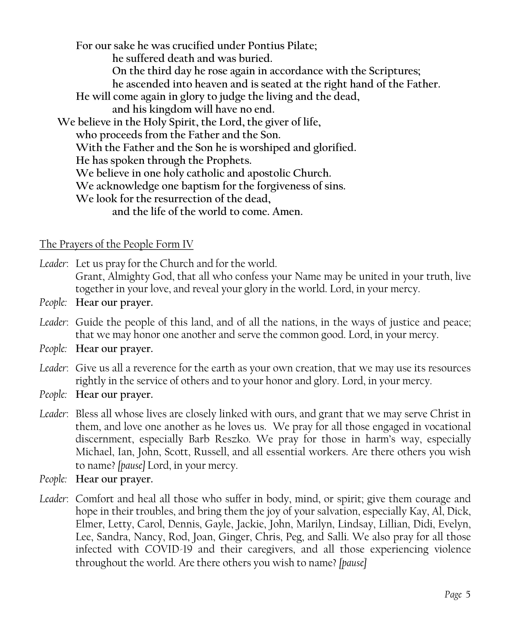**For our sake he was crucified under Pontius Pilate; he suffered death and was buried. On the third day he rose again in accordance with the Scriptures; he ascended into heaven and is seated at the right hand of the Father. He will come again in glory to judge the living and the dead, and his kingdom will have no end. We believe in the Holy Spirit, the Lord, the giver of life, who proceeds from the Father and the Son. With the Father and the Son he is worshiped and glorified. He has spoken through the Prophets. We believe in one holy catholic and apostolic Church. We acknowledge one baptism for the forgiveness of sins. We look for the resurrection of the dead, and the life of the world to come. Amen.** 

The Prayers of the People Form IV

*Leader*: Let us pray for the Church and for the world. Grant, Almighty God, that all who confess your Name may be united in your truth, live together in your love, and reveal your glory in the world. Lord, in your mercy.

- *People:* **Hear our prayer.**
- *Leader*: Guide the people of this land, and of all the nations, in the ways of justice and peace; that we may honor one another and serve the common good. Lord, in your mercy.
- *People:* **Hear our prayer.**
- *Leader*: Give us all a reverence for the earth as your own creation, that we may use its resources rightly in the service of others and to your honor and glory. Lord, in your mercy.
- *People:* **Hear our prayer.**
- *Leader*: Bless all whose lives are closely linked with ours, and grant that we may serve Christ in them, and love one another as he loves us. We pray for all those engaged in vocational discernment, especially Barb Reszko. We pray for those in harm's way, especially Michael, Ian, John, Scott, Russell, and all essential workers. Are there others you wish to name? *[pause]* Lord, in your mercy.
- *People:* **Hear our prayer.**
- *Leader*: Comfort and heal all those who suffer in body, mind, or spirit; give them courage and hope in their troubles, and bring them the joy of your salvation, especially Kay, Al, Dick, Elmer, Letty, Carol, Dennis, Gayle, Jackie, John, Marilyn, Lindsay, Lillian, Didi, Evelyn, Lee, Sandra, Nancy, Rod, Joan, Ginger, Chris, Peg, and Salli. We also pray for all those infected with COVID-19 and their caregivers, and all those experiencing violence throughout the world. Are there others you wish to name? *[pause]*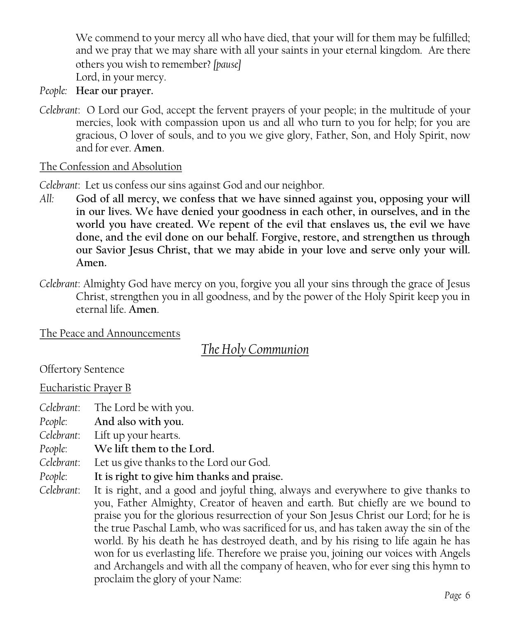We commend to your mercy all who have died, that your will for them may be fulfilled; and we pray that we may share with all your saints in your eternal kingdom. Are there others you wish to remember? *[pause]* 

Lord, in your mercy.

- *People:* **Hear our prayer.**
- *Celebrant*: O Lord our God, accept the fervent prayers of your people; in the multitude of your mercies, look with compassion upon us and all who turn to you for help; for you are gracious, O lover of souls, and to you we give glory, Father, Son, and Holy Spirit, now and for ever. **Amen**.

### The Confession and Absolution

*Celebrant*: Let us confess our sins against God and our neighbor.

- *All:* **God of all mercy, we confess that we have sinned against you, opposing your will in our lives. We have denied your goodness in each other, in ourselves, and in the world you have created. We repent of the evil that enslaves us, the evil we have done, and the evil done on our behalf. Forgive, restore, and strengthen us through our Savior Jesus Christ, that we may abide in your love and serve only your will. Amen.**
- *Celebrant*: Almighty God have mercy on you, forgive you all your sins through the grace of Jesus Christ, strengthen you in all goodness, and by the power of the Holy Spirit keep you in eternal life. **Amen**.

The Peace and Announcements

*The Holy Communion*

Offertory Sentence

### Eucharistic Prayer B

*Celebrant*: The Lord be with you.

*People*: **And also with you.** 

*Celebrant*: Lift up your hearts.

- *People*: **We lift them to the Lord.**
- *Celebrant*: Let us give thanks to the Lord our God.
- *People*: **It is right to give him thanks and praise.**
- *Celebrant*: It is right, and a good and joyful thing, always and everywhere to give thanks to you, Father Almighty, Creator of heaven and earth. But chiefly are we bound to praise you for the glorious resurrection of your Son Jesus Christ our Lord; for he is the true Paschal Lamb, who was sacrificed for us, and has taken away the sin of the world. By his death he has destroyed death, and by his rising to life again he has won for us everlasting life. Therefore we praise you, joining our voices with Angels and Archangels and with all the company of heaven, who for ever sing this hymn to proclaim the glory of your Name: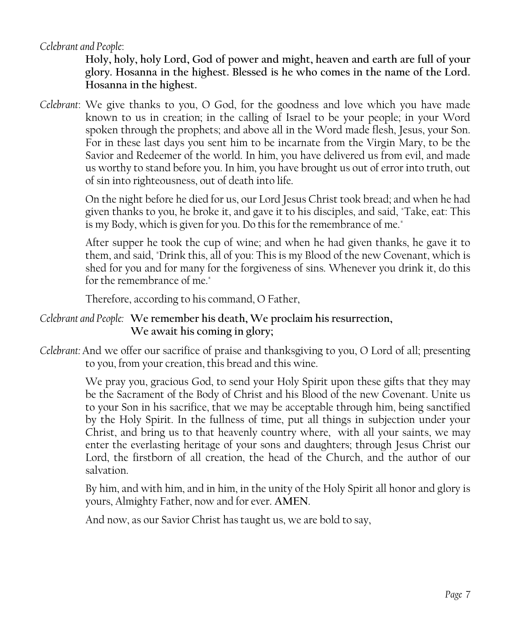*Celebrant and People*:

**Holy, holy, holy Lord, God of power and might, heaven and earth are full of your glory. Hosanna in the highest. Blessed is he who comes in the name of the Lord. Hosanna in the highest.** 

*Celebrant*: We give thanks to you, O God, for the goodness and love which you have made known to us in creation; in the calling of Israel to be your people; in your Word spoken through the prophets; and above all in the Word made flesh, Jesus, your Son. For in these last days you sent him to be incarnate from the Virgin Mary, to be the Savior and Redeemer of the world. In him, you have delivered us from evil, and made us worthy to stand before you. In him, you have brought us out of error into truth, out of sin into righteousness, out of death into life.

> On the night before he died for us, our Lord Jesus Christ took bread; and when he had given thanks to you, he broke it, and gave it to his disciples, and said, "Take, eat: This is my Body, which is given for you. Do this for the remembrance of me."

> After supper he took the cup of wine; and when he had given thanks, he gave it to them, and said, "Drink this, all of you: This is my Blood of the new Covenant, which is shed for you and for many for the forgiveness of sins. Whenever you drink it, do this for the remembrance of me."

Therefore, according to his command, O Father,

# *Celebrant and People:* **We remember his death, We proclaim his resurrection, We await his coming in glory;**

*Celebrant:* And we offer our sacrifice of praise and thanksgiving to you, O Lord of all; presenting to you, from your creation, this bread and this wine.

> We pray you, gracious God, to send your Holy Spirit upon these gifts that they may be the Sacrament of the Body of Christ and his Blood of the new Covenant. Unite us to your Son in his sacrifice, that we may be acceptable through him, being sanctified by the Holy Spirit. In the fullness of time, put all things in subjection under your Christ, and bring us to that heavenly country where, with all your saints, we may enter the everlasting heritage of your sons and daughters; through Jesus Christ our Lord, the firstborn of all creation, the head of the Church, and the author of our salvation.

> By him, and with him, and in him, in the unity of the Holy Spirit all honor and glory is yours, Almighty Father, now and for ever. **AMEN**.

And now, as our Savior Christ has taught us, we are bold to say,